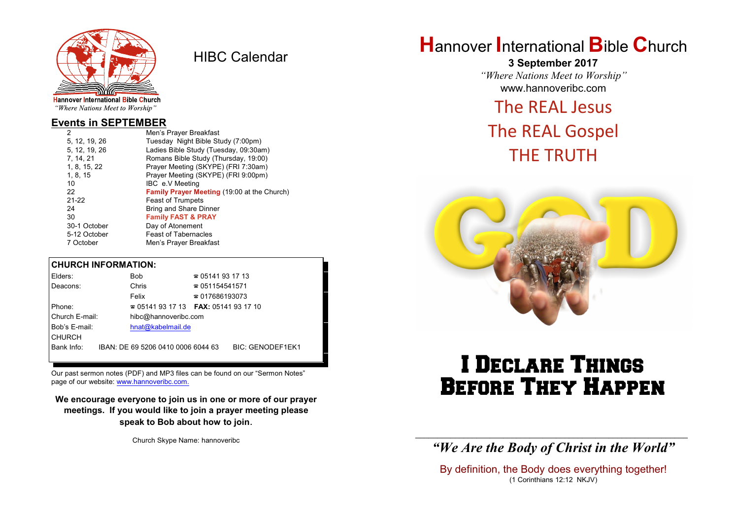

HIBC Calendar

"Where Nations Meet to Worship"

### **Events in SEPTEMBER**

| 2             | Men's Prayer Breakfast                      |
|---------------|---------------------------------------------|
| 5, 12, 19, 26 | Tuesday Night Bible Study (7:00pm)          |
| 5, 12, 19, 26 | Ladies Bible Study (Tuesday, 09:30am)       |
| 7, 14, 21     | Romans Bible Study (Thursday, 19:00)        |
| 1, 8, 15, 22  | Prayer Meeting (SKYPE) (FRI 7:30am)         |
| 1, 8, 15      | Prayer Meeting (SKYPE) (FRI 9:00pm)         |
| 10            | IBC e.V Meeting                             |
| 22            | Family Prayer Meeting (19:00 at the Church) |
| $21 - 22$     | <b>Feast of Trumpets</b>                    |
| 24            | Bring and Share Dinner                      |
| 30            | <b>Family FAST &amp; PRAY</b>               |
| 30-1 October  | Day of Atonement                            |
| 5-12 October  | <b>Feast of Tabernacles</b>                 |
| 7 October     | Men's Prayer Breakfast                      |
|               |                                             |

### **CHURCH INFORMATION:**

| Elders:        | <b>Bob</b>                               | $\approx 05141931713$  |                         |
|----------------|------------------------------------------|------------------------|-------------------------|
| Deacons:       | Chris                                    | $\approx 051154541571$ |                         |
|                | Felix                                    | $\approx 017686193073$ |                         |
| Phone:         | $\approx 05141931713$ FAX: 0514193 17 10 |                        |                         |
| Church E-mail: | hibc@hannoveribc.com                     |                        |                         |
| Bob's E-mail:  | hnat@kabelmail.de                        |                        |                         |
| <b>CHURCH</b>  |                                          |                        |                         |
| Bank Info:     | IBAN: DE 69 5206 0410 0006 6044 63       |                        | <b>BIC: GENODEF1EK1</b> |
|                |                                          |                        |                         |

Our past sermon notes (PDF) and MP3 files can be found on our "Sermon Notes" page of our website: [www.hannoveribc.com.](http://www.hannoveribc.com.)

**We encourage everyone to join us in one or more of our prayer meetings. If you would like to join a prayer meeting please speak to Bob about how to join**.

Church Skype Name: hannoveribc

## **H**annover **I**nternational **B**ible **C**hurch

**3 September 2017** *"Where Nations Meet to Worship"* www.hannoveribc.com

## The REAL Jesus

## The REAL Gospel THE TRUTH



# I Declare Things Before They Happen

\_\_\_\_\_\_\_\_\_\_\_\_\_\_\_\_\_\_\_\_\_\_\_\_\_\_\_\_\_\_\_\_\_\_\_\_\_\_\_\_\_\_\_\_\_\_\_\_\_\_\_\_\_\_\_\_\_\_\_\_\_\_ *"We Are the Body of Christ in the World"*

By definition, the Body does everything together! (1 Corinthians 12:12 NKJV)